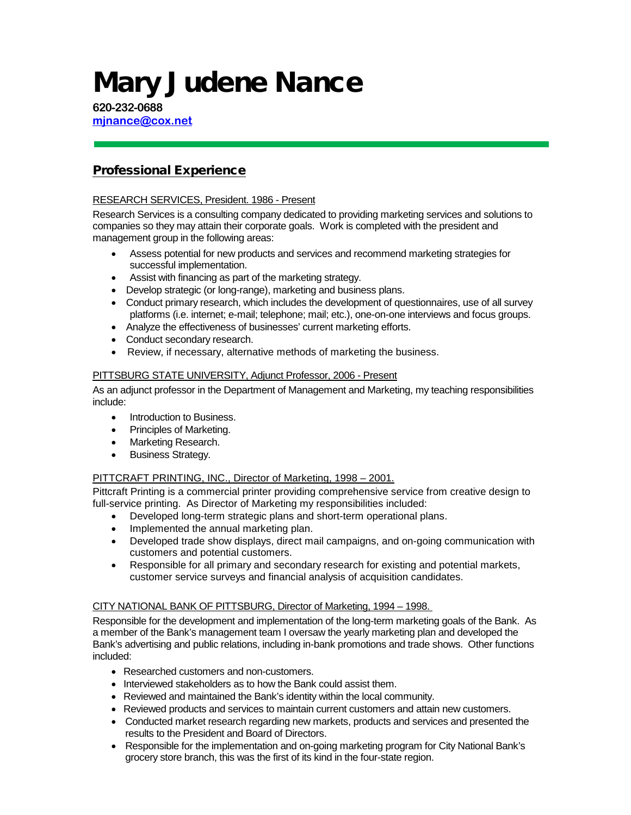# Mary Judene Nance

**620-232-0688 [mjnance@cox.net](mailto:mjnance@cox.net)**

## Professional Experience

## RESEARCH SERVICES, President. 1986 - Present

Research Services is a consulting company dedicated to providing marketing services and solutions to companies so they may attain their corporate goals. Work is completed with the president and management group in the following areas:

- Assess potential for new products and services and recommend marketing strategies for successful implementation.
- Assist with financing as part of the marketing strategy.
- Develop strategic (or long-range), marketing and business plans.
- Conduct primary research, which includes the development of questionnaires, use of all survey platforms (i.e. internet; e-mail; telephone; mail; etc.), one-on-one interviews and focus groups.
- Analyze the effectiveness of businesses' current marketing efforts.
- Conduct secondary research.
- Review, if necessary, alternative methods of marketing the business.

## PITTSBURG STATE UNIVERSITY, Adjunct Professor, 2006 - Present

As an adjunct professor in the Department of Management and Marketing, my teaching responsibilities include:

- Introduction to Business
- Principles of Marketing.
- Marketing Research.
- Business Strategy.

## PITTCRAFT PRINTING, INC., Director of Marketing, 1998 – 2001.

Pittcraft Printing is a commercial printer providing comprehensive service from creative design to full-service printing. As Director of Marketing my responsibilities included:

- Developed long-term strategic plans and short-term operational plans.
- Implemented the annual marketing plan.
- Developed trade show displays, direct mail campaigns, and on-going communication with customers and potential customers.
- Responsible for all primary and secondary research for existing and potential markets, customer service surveys and financial analysis of acquisition candidates.

#### CITY NATIONAL BANK OF PITTSBURG, Director of Marketing, 1994 – 1998.

Responsible for the development and implementation of the long-term marketing goals of the Bank. As a member of the Bank's management team I oversaw the yearly marketing plan and developed the Bank's advertising and public relations, including in-bank promotions and trade shows. Other functions included:

- Researched customers and non-customers.
- Interviewed stakeholders as to how the Bank could assist them.
- Reviewed and maintained the Bank's identity within the local community.
- Reviewed products and services to maintain current customers and attain new customers.
- Conducted market research regarding new markets, products and services and presented the results to the President and Board of Directors.
- Responsible for the implementation and on-going marketing program for City National Bank's grocery store branch, this was the first of its kind in the four-state region.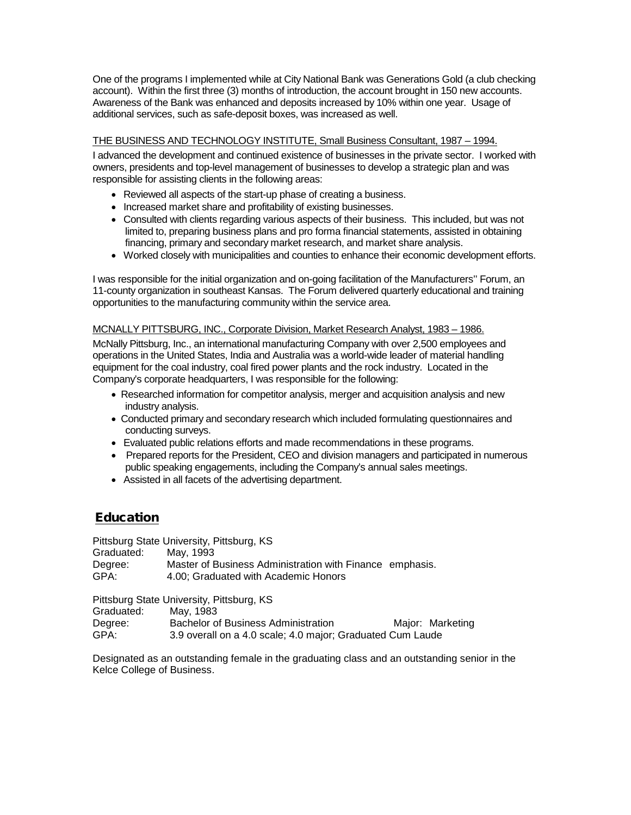One of the programs I implemented while at City National Bank was Generations Gold (a club checking account). Within the first three (3) months of introduction, the account brought in 150 new accounts. Awareness of the Bank was enhanced and deposits increased by 10% within one year. Usage of additional services, such as safe-deposit boxes, was increased as well.

## THE BUSINESS AND TECHNOLOGY INSTITUTE, Small Business Consultant, 1987 – 1994.

I advanced the development and continued existence of businesses in the private sector. I worked with owners, presidents and top-level management of businesses to develop a strategic plan and was responsible for assisting clients in the following areas:

- Reviewed all aspects of the start-up phase of creating a business.
- Increased market share and profitability of existing businesses.
- Consulted with clients regarding various aspects of their business. This included, but was not limited to, preparing business plans and pro forma financial statements, assisted in obtaining financing, primary and secondary market research, and market share analysis.
- Worked closely with municipalities and counties to enhance their economic development efforts.

I was responsible for the initial organization and on-going facilitation of the Manufacturers'' Forum, an 11-county organization in southeast Kansas. The Forum delivered quarterly educational and training opportunities to the manufacturing community within the service area.

#### MCNALLY PITTSBURG, INC., Corporate Division, Market Research Analyst, 1983 – 1986.

McNally Pittsburg, Inc., an international manufacturing Company with over 2,500 employees and operations in the United States, India and Australia was a world-wide leader of material handling equipment for the coal industry, coal fired power plants and the rock industry. Located in the Company's corporate headquarters, I was responsible for the following:

- Researched information for competitor analysis, merger and acquisition analysis and new industry analysis.
- Conducted primary and secondary research which included formulating questionnaires and conducting surveys.
- Evaluated public relations efforts and made recommendations in these programs.
- Prepared reports for the President, CEO and division managers and participated in numerous public speaking engagements, including the Company's annual sales meetings.
- Assisted in all facets of the advertising department.

# Education

Pittsburg State University, Pittsburg, KS Graduated: May, 1993 Degree: Master of Business Administration with Finance emphasis.<br>GPA: 4.00: Graduated with Academic Honors 4.00; Graduated with Academic Honors

Pittsburg State University, Pittsburg, KS

| Graduated: | May, 1983                                                  |                  |
|------------|------------------------------------------------------------|------------------|
| Degree:    | <b>Bachelor of Business Administration</b>                 | Major: Marketing |
| GPA:       | 3.9 overall on a 4.0 scale; 4.0 major; Graduated Cum Laude |                  |

Designated as an outstanding female in the graduating class and an outstanding senior in the Kelce College of Business.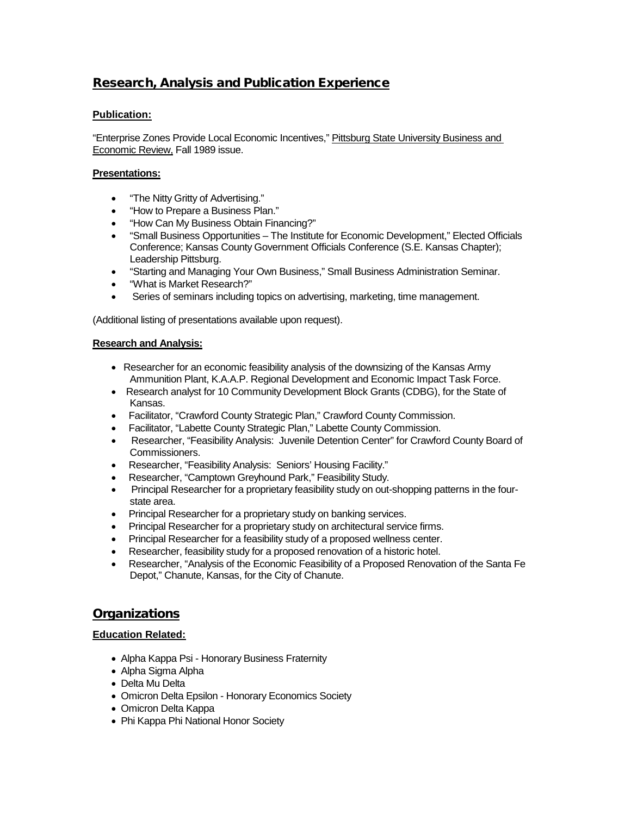# Research, Analysis and Publication Experience

## **Publication:**

"Enterprise Zones Provide Local Economic Incentives," Pittsburg State University Business and Economic Review, Fall 1989 issue.

## **Presentations:**

- "The Nitty Gritty of Advertising."
- "How to Prepare a Business Plan."
- "How Can My Business Obtain Financing?"
- "Small Business Opportunities The Institute for Economic Development," Elected Officials Conference; Kansas County Government Officials Conference (S.E. Kansas Chapter); Leadership Pittsburg.
- "Starting and Managing Your Own Business," Small Business Administration Seminar.
- "What is Market Research?"
- Series of seminars including topics on advertising, marketing, time management.

(Additional listing of presentations available upon request).

## **Research and Analysis:**

- Researcher for an economic feasibility analysis of the downsizing of the Kansas Army Ammunition Plant, K.A.A.P. Regional Development and Economic Impact Task Force.
- Research analyst for 10 Community Development Block Grants (CDBG), for the State of Kansas.
- Facilitator, "Crawford County Strategic Plan," Crawford County Commission.
- Facilitator, "Labette County Strategic Plan," Labette County Commission.
- Researcher, "Feasibility Analysis: Juvenile Detention Center" for Crawford County Board of Commissioners.
- Researcher, "Feasibility Analysis: Seniors' Housing Facility."
- Researcher, "Camptown Greyhound Park," Feasibility Study.
- Principal Researcher for a proprietary feasibility study on out-shopping patterns in the fourstate area.
- Principal Researcher for a proprietary study on banking services.
- Principal Researcher for a proprietary study on architectural service firms.
- Principal Researcher for a feasibility study of a proposed wellness center.
- Researcher, feasibility study for a proposed renovation of a historic hotel.
- Researcher, "Analysis of the Economic Feasibility of a Proposed Renovation of the Santa Fe Depot," Chanute, Kansas, for the City of Chanute.

## **Organizations**

## **Education Related:**

- Alpha Kappa Psi Honorary Business Fraternity
- Alpha Sigma Alpha
- Delta Mu Delta
- Omicron Delta Epsilon Honorary Economics Society
- Omicron Delta Kappa
- Phi Kappa Phi National Honor Society